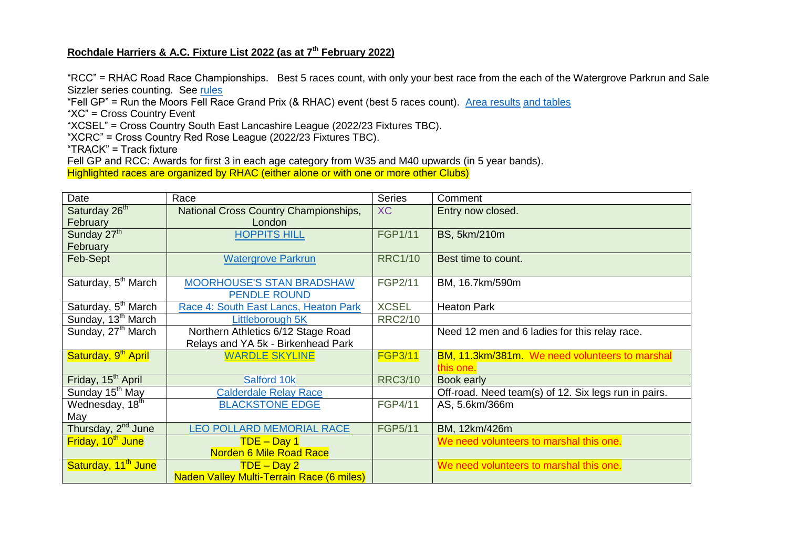## **Rochdale Harriers & A.C. Fixture List 2022 (as at 7 th February 2022)**

"RCC" = RHAC Road Race Championships. Best 5 races count, with only your best race from the each of the Watergrove Parkrun and Sale Sizzler series counting. See [rules](https://www.rochdaleharriers.org.uk/2022/01/11/road-race-championship-2022/)

"Fell GP" = Run the Moors Fell Race Grand Prix (& RHAC) event (best 5 races count). [Area results](http://www.felljunior.org.uk/RTMGP/) [and tables](http://www.felljunior.org.uk/RTMGP/)

"XC" = Cross Country Event

"XCSEL" = Cross Country South East Lancashire League (2022/23 Fixtures TBC).

"XCRC" = Cross Country Red Rose League (2022/23 Fixtures TBC).

"TRACK" = Track fixture

Fell GP and RCC: Awards for first 3 in each age category from W35 and M40 upwards (in 5 year bands).

Highlighted races are organized by RHAC (either alone or with one or more other Clubs)

| Date                            | Race                                      | <b>Series</b>  | Comment                                              |
|---------------------------------|-------------------------------------------|----------------|------------------------------------------------------|
| Saturday 26 <sup>th</sup>       | National Cross Country Championships,     | <b>XC</b>      | Entry now closed.                                    |
| February                        | London                                    |                |                                                      |
| Sunday 27 <sup>th</sup>         | <b>HOPPITS HILL</b>                       | <b>FGP1/11</b> | BS, 5km/210m                                         |
| February                        |                                           |                |                                                      |
| Feb-Sept                        | <b>Watergrove Parkrun</b>                 | <b>RRC1/10</b> | Best time to count.                                  |
|                                 |                                           |                |                                                      |
| Saturday, 5 <sup>th</sup> March | MOORHOUSE'S STAN BRADSHAW                 | FGP2/11        | BM, 16.7km/590m                                      |
|                                 | <b>PENDLE ROUND</b>                       |                |                                                      |
| Saturday, 5 <sup>th</sup> March | Race 4: South East Lancs, Heaton Park     | <b>XCSEL</b>   | <b>Heaton Park</b>                                   |
| Sunday, 13 <sup>th</sup> March  | Littleborough 5K                          | <b>RRC2/10</b> |                                                      |
| Sunday, 27 <sup>th</sup> March  | Northern Athletics 6/12 Stage Road        |                | Need 12 men and 6 ladies for this relay race.        |
|                                 | Relays and YA 5k - Birkenhead Park        |                |                                                      |
| Saturday, 9 <sup>th</sup> April | <b>WARDLE SKYLINE</b>                     | <b>FGP3/11</b> | BM, 11.3km/381m. We need volunteers to marshal       |
|                                 |                                           |                | this one.                                            |
| Friday, 15 <sup>th</sup> April  | Salford 10k                               | <b>RRC3/10</b> | <b>Book early</b>                                    |
| Sunday 15 <sup>th</sup> May     | <b>Calderdale Relay Race</b>              |                | Off-road. Need team(s) of 12. Six legs run in pairs. |
| Wednesday, 18th                 | <b>BLACKSTONE EDGE</b>                    | FGP4/11        | AS, 5.6km/366m                                       |
| May                             |                                           |                |                                                      |
| Thursday, 2 <sup>nd</sup> June  | <b>LEO POLLARD MEMORIAL RACE</b>          | <b>FGP5/11</b> | BM, 12km/426m                                        |
| Friday, 10 <sup>th</sup> June   | $TDE - Day 1$                             |                | We need volunteers to marshal this one.              |
|                                 | <b>Norden 6 Mile Road Race</b>            |                |                                                      |
| Saturday, 11 <sup>th</sup> June | $TDE - Day 2$                             |                | We need volunteers to marshal this one.              |
|                                 | Naden Valley Multi-Terrain Race (6 miles) |                |                                                      |